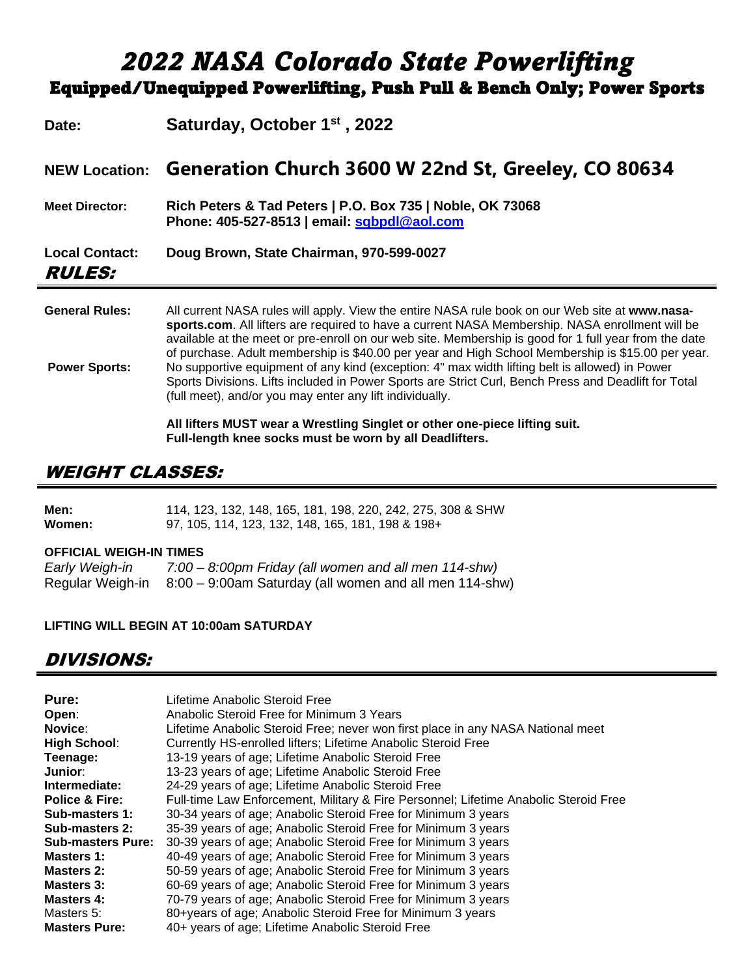# *2022 NASA Colorado State Powerlifting* Equipped/Unequipped Powerlifting, Push Pull & Bench Only; Power Sports

| Date:                                         | Saturday, October 1 <sup>st</sup> , 2022                                                                                                                                                                                                                                                                                                                                                                                                                                                                                                                                                                                                                                              |
|-----------------------------------------------|---------------------------------------------------------------------------------------------------------------------------------------------------------------------------------------------------------------------------------------------------------------------------------------------------------------------------------------------------------------------------------------------------------------------------------------------------------------------------------------------------------------------------------------------------------------------------------------------------------------------------------------------------------------------------------------|
| <b>NEW Location:</b>                          | Generation Church 3600 W 22nd St, Greeley, CO 80634                                                                                                                                                                                                                                                                                                                                                                                                                                                                                                                                                                                                                                   |
| <b>Meet Director:</b>                         | Rich Peters & Tad Peters   P.O. Box 735   Noble, OK 73068<br>Phone: 405-527-8513   email: sabpdl@aol.com                                                                                                                                                                                                                                                                                                                                                                                                                                                                                                                                                                              |
| <b>Local Contact:</b><br><i><b>RULES:</b></i> | Doug Brown, State Chairman, 970-599-0027                                                                                                                                                                                                                                                                                                                                                                                                                                                                                                                                                                                                                                              |
| <b>General Rules:</b><br><b>Power Sports:</b> | All current NASA rules will apply. View the entire NASA rule book on our Web site at www.nasa-<br>sports.com. All lifters are required to have a current NASA Membership. NASA enrollment will be<br>available at the meet or pre-enroll on our web site. Membership is good for 1 full year from the date<br>of purchase. Adult membership is \$40.00 per year and High School Membership is \$15.00 per year.<br>No supportive equipment of any kind (exception: 4" max width lifting belt is allowed) in Power<br>Sports Divisions. Lifts included in Power Sports are Strict Curl, Bench Press and Deadlift for Total<br>(full meet), and/or you may enter any lift individually. |

**All lifters MUST wear a Wrestling Singlet or other one-piece lifting suit. Full-length knee socks must be worn by all Deadlifters.**

## WEIGHT CLASSES:

| Men:   | 114, 123, 132, 148, 165, 181, 198, 220, 242, 275, 308 & SHW |
|--------|-------------------------------------------------------------|
| Women: | 97, 105, 114, 123, 132, 148, 165, 181, 198 & 198+           |

#### **OFFICIAL WEIGH-IN TIMES**

| Early Weigh-in   | 7:00 – 8:00pm Friday (all women and all men 114-shw)   |
|------------------|--------------------------------------------------------|
| Regular Weigh-in | 8:00 – 9:00am Saturday (all women and all men 114-shw) |

#### **LIFTING WILL BEGIN AT 10:00am SATURDAY**

## DIVISIONS:

| Pure:                     | Lifetime Anabolic Steroid Free                                                       |
|---------------------------|--------------------------------------------------------------------------------------|
| Open:                     | Anabolic Steroid Free for Minimum 3 Years                                            |
| Novice:                   | Lifetime Anabolic Steroid Free; never won first place in any NASA National meet      |
| <b>High School:</b>       | Currently HS-enrolled lifters; Lifetime Anabolic Steroid Free                        |
| Teenage:                  | 13-19 years of age; Lifetime Anabolic Steroid Free                                   |
| Junior:                   | 13-23 years of age; Lifetime Anabolic Steroid Free                                   |
| Intermediate:             | 24-29 years of age; Lifetime Anabolic Steroid Free                                   |
| <b>Police &amp; Fire:</b> | Full-time Law Enforcement, Military & Fire Personnel; Lifetime Anabolic Steroid Free |
| Sub-masters 1:            | 30-34 years of age; Anabolic Steroid Free for Minimum 3 years                        |
| Sub-masters 2:            | 35-39 years of age; Anabolic Steroid Free for Minimum 3 years                        |
| <b>Sub-masters Pure:</b>  | 30-39 years of age; Anabolic Steroid Free for Minimum 3 years                        |
| Masters 1:                | 40-49 years of age; Anabolic Steroid Free for Minimum 3 years                        |
| Masters 2:                | 50-59 years of age; Anabolic Steroid Free for Minimum 3 years                        |
| Masters 3:                | 60-69 years of age; Anabolic Steroid Free for Minimum 3 years                        |
| Masters 4:                | 70-79 years of age; Anabolic Steroid Free for Minimum 3 years                        |
| Masters 5:                | 80+years of age; Anabolic Steroid Free for Minimum 3 years                           |
| <b>Masters Pure:</b>      | 40+ years of age; Lifetime Anabolic Steroid Free                                     |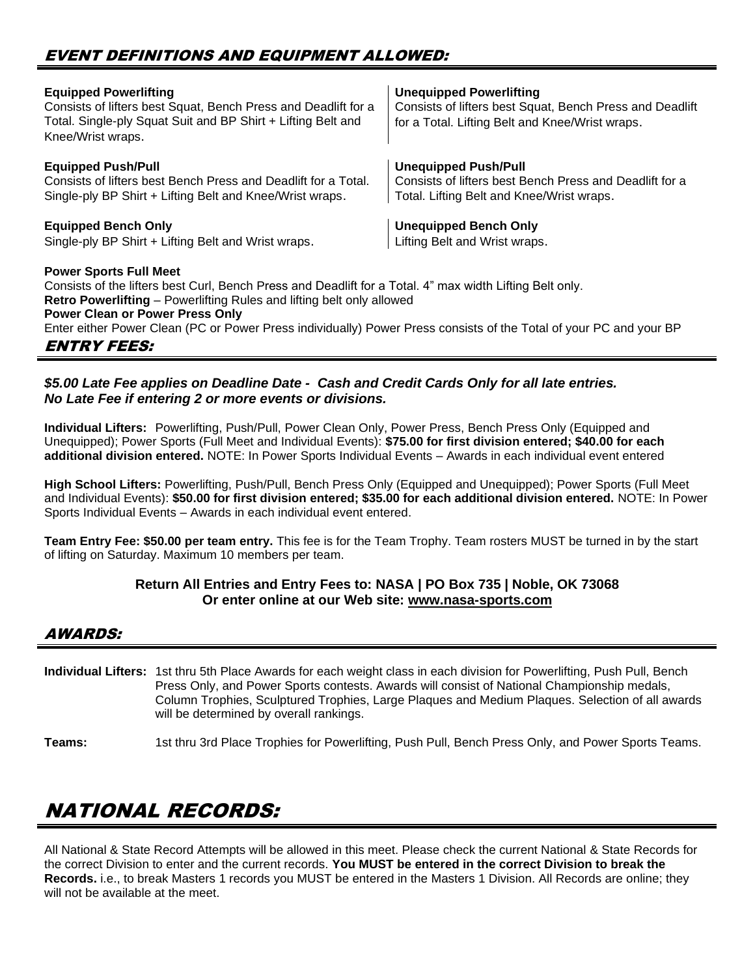| <b>Equipped Powerlifting</b><br>Consists of lifters best Squat, Bench Press and Deadlift for a<br>Total. Single-ply Squat Suit and BP Shirt + Lifting Belt and<br>Knee/Wrist wraps.                                                                                                                                                                                                       | <b>Unequipped Powerlifting</b><br>Consists of lifters best Squat, Bench Press and Deadlift<br>for a Total. Lifting Belt and Knee/Wrist wraps. |  |  |  |
|-------------------------------------------------------------------------------------------------------------------------------------------------------------------------------------------------------------------------------------------------------------------------------------------------------------------------------------------------------------------------------------------|-----------------------------------------------------------------------------------------------------------------------------------------------|--|--|--|
| <b>Equipped Push/Pull</b>                                                                                                                                                                                                                                                                                                                                                                 | <b>Unequipped Push/Pull</b>                                                                                                                   |  |  |  |
| Consists of lifters best Bench Press and Deadlift for a Total.                                                                                                                                                                                                                                                                                                                            | Consists of lifters best Bench Press and Deadlift for a                                                                                       |  |  |  |
| Single-ply BP Shirt + Lifting Belt and Knee/Wrist wraps.                                                                                                                                                                                                                                                                                                                                  | Total. Lifting Belt and Knee/Wrist wraps.                                                                                                     |  |  |  |
| <b>Equipped Bench Only</b>                                                                                                                                                                                                                                                                                                                                                                | <b>Unequipped Bench Only</b>                                                                                                                  |  |  |  |
| Single-ply BP Shirt + Lifting Belt and Wrist wraps.                                                                                                                                                                                                                                                                                                                                       | Lifting Belt and Wrist wraps.                                                                                                                 |  |  |  |
| <b>Power Sports Full Meet</b><br>Consists of the lifters best Curl, Bench Press and Deadlift for a Total. 4" max width Lifting Belt only.<br><b>Retro Powerlifting – Powerlifting Rules and lifting belt only allowed</b><br><b>Power Clean or Power Press Only</b><br>Enter either Power Clean (PC or Power Press individually) Power Press consists of the Total of your PC and your BP |                                                                                                                                               |  |  |  |

### ENTRY FEES:

#### *\$5.00 Late Fee applies on Deadline Date - Cash and Credit Cards Only for all late entries. No Late Fee if entering 2 or more events or divisions.*

**Individual Lifters:** Powerlifting, Push/Pull, Power Clean Only, Power Press, Bench Press Only (Equipped and Unequipped); Power Sports (Full Meet and Individual Events): **\$75.00 for first division entered; \$40.00 for each additional division entered.** NOTE: In Power Sports Individual Events – Awards in each individual event entered

**High School Lifters:** Powerlifting, Push/Pull, Bench Press Only (Equipped and Unequipped); Power Sports (Full Meet and Individual Events): **\$50.00 for first division entered; \$35.00 for each additional division entered.** NOTE: In Power Sports Individual Events – Awards in each individual event entered.

**Team Entry Fee: \$50.00 per team entry.** This fee is for the Team Trophy. Team rosters MUST be turned in by the start of lifting on Saturday. Maximum 10 members per team.

#### **Return All Entries and Entry Fees to: NASA | PO Box 735 | Noble, OK 73068 Or enter online at our Web site: [www.nasa-sports.com](http://www.nasa-sports.com/)**

### AWARDS:

**Individual Lifters:** 1st thru 5th Place Awards for each weight class in each division for Powerlifting, Push Pull, Bench Press Only, and Power Sports contests. Awards will consist of National Championship medals, Column Trophies, Sculptured Trophies, Large Plaques and Medium Plaques. Selection of all awards will be determined by overall rankings.

**Teams:** 1st thru 3rd Place Trophies for Powerlifting, Push Pull, Bench Press Only, and Power Sports Teams.

# NATIONAL RECORDS:

All National & State Record Attempts will be allowed in this meet. Please check the current National & State Records for the correct Division to enter and the current records. **You MUST be entered in the correct Division to break the Records.** i.e., to break Masters 1 records you MUST be entered in the Masters 1 Division. All Records are online; they will not be available at the meet.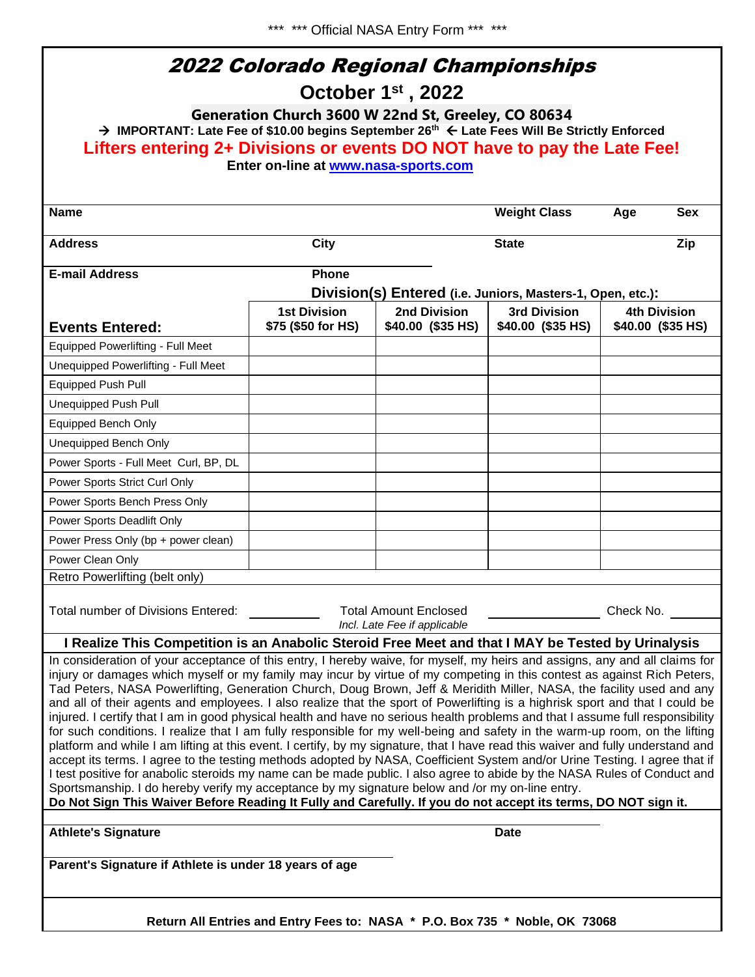| 2022 Colorado Regional Championships<br>October 1 <sup>st</sup> , 2022<br>Generation Church 3600 W 22nd St, Greeley, CO 80634<br>→ IMPORTANT: Late Fee of \$10.00 begins September 26th $\leftarrow$ Late Fees Will Be Strictly Enforced                                                                                                                                                                                                                                                                                                                                                                                                                                                                                                                                                                                                                                                                                                                                                                                                                                                                                                                                                                                                                                                                                                                                                                                                                                                                  |                     |                                                              |                     |                     |  |  |  |  |
|-----------------------------------------------------------------------------------------------------------------------------------------------------------------------------------------------------------------------------------------------------------------------------------------------------------------------------------------------------------------------------------------------------------------------------------------------------------------------------------------------------------------------------------------------------------------------------------------------------------------------------------------------------------------------------------------------------------------------------------------------------------------------------------------------------------------------------------------------------------------------------------------------------------------------------------------------------------------------------------------------------------------------------------------------------------------------------------------------------------------------------------------------------------------------------------------------------------------------------------------------------------------------------------------------------------------------------------------------------------------------------------------------------------------------------------------------------------------------------------------------------------|---------------------|--------------------------------------------------------------|---------------------|---------------------|--|--|--|--|
| Lifters entering 2+ Divisions or events DO NOT have to pay the Late Fee!                                                                                                                                                                                                                                                                                                                                                                                                                                                                                                                                                                                                                                                                                                                                                                                                                                                                                                                                                                                                                                                                                                                                                                                                                                                                                                                                                                                                                                  |                     |                                                              |                     |                     |  |  |  |  |
| Enter on-line at www.nasa-sports.com                                                                                                                                                                                                                                                                                                                                                                                                                                                                                                                                                                                                                                                                                                                                                                                                                                                                                                                                                                                                                                                                                                                                                                                                                                                                                                                                                                                                                                                                      |                     |                                                              |                     |                     |  |  |  |  |
|                                                                                                                                                                                                                                                                                                                                                                                                                                                                                                                                                                                                                                                                                                                                                                                                                                                                                                                                                                                                                                                                                                                                                                                                                                                                                                                                                                                                                                                                                                           |                     |                                                              |                     | <b>Sex</b>          |  |  |  |  |
| <b>Name</b>                                                                                                                                                                                                                                                                                                                                                                                                                                                                                                                                                                                                                                                                                                                                                                                                                                                                                                                                                                                                                                                                                                                                                                                                                                                                                                                                                                                                                                                                                               |                     |                                                              | <b>Weight Class</b> | Age                 |  |  |  |  |
| <b>Address</b>                                                                                                                                                                                                                                                                                                                                                                                                                                                                                                                                                                                                                                                                                                                                                                                                                                                                                                                                                                                                                                                                                                                                                                                                                                                                                                                                                                                                                                                                                            | City                |                                                              | <b>State</b>        | Zip                 |  |  |  |  |
| <b>E-mail Address</b>                                                                                                                                                                                                                                                                                                                                                                                                                                                                                                                                                                                                                                                                                                                                                                                                                                                                                                                                                                                                                                                                                                                                                                                                                                                                                                                                                                                                                                                                                     | <b>Phone</b>        |                                                              |                     |                     |  |  |  |  |
|                                                                                                                                                                                                                                                                                                                                                                                                                                                                                                                                                                                                                                                                                                                                                                                                                                                                                                                                                                                                                                                                                                                                                                                                                                                                                                                                                                                                                                                                                                           |                     | Division(s) Entered (i.e. Juniors, Masters-1, Open, etc.):   |                     |                     |  |  |  |  |
|                                                                                                                                                                                                                                                                                                                                                                                                                                                                                                                                                                                                                                                                                                                                                                                                                                                                                                                                                                                                                                                                                                                                                                                                                                                                                                                                                                                                                                                                                                           | <b>1st Division</b> | 2nd Division                                                 | 3rd Division        | <b>4th Division</b> |  |  |  |  |
| <b>Events Entered:</b>                                                                                                                                                                                                                                                                                                                                                                                                                                                                                                                                                                                                                                                                                                                                                                                                                                                                                                                                                                                                                                                                                                                                                                                                                                                                                                                                                                                                                                                                                    | \$75 (\$50 for HS)  | \$40.00 (\$35 HS)                                            | \$40.00 (\$35 HS)   | \$40.00 (\$35 HS)   |  |  |  |  |
| Equipped Powerlifting - Full Meet                                                                                                                                                                                                                                                                                                                                                                                                                                                                                                                                                                                                                                                                                                                                                                                                                                                                                                                                                                                                                                                                                                                                                                                                                                                                                                                                                                                                                                                                         |                     |                                                              |                     |                     |  |  |  |  |
| Unequipped Powerlifting - Full Meet                                                                                                                                                                                                                                                                                                                                                                                                                                                                                                                                                                                                                                                                                                                                                                                                                                                                                                                                                                                                                                                                                                                                                                                                                                                                                                                                                                                                                                                                       |                     |                                                              |                     |                     |  |  |  |  |
| <b>Equipped Push Pull</b>                                                                                                                                                                                                                                                                                                                                                                                                                                                                                                                                                                                                                                                                                                                                                                                                                                                                                                                                                                                                                                                                                                                                                                                                                                                                                                                                                                                                                                                                                 |                     |                                                              |                     |                     |  |  |  |  |
| <b>Unequipped Push Pull</b>                                                                                                                                                                                                                                                                                                                                                                                                                                                                                                                                                                                                                                                                                                                                                                                                                                                                                                                                                                                                                                                                                                                                                                                                                                                                                                                                                                                                                                                                               |                     |                                                              |                     |                     |  |  |  |  |
| Equipped Bench Only                                                                                                                                                                                                                                                                                                                                                                                                                                                                                                                                                                                                                                                                                                                                                                                                                                                                                                                                                                                                                                                                                                                                                                                                                                                                                                                                                                                                                                                                                       |                     |                                                              |                     |                     |  |  |  |  |
| Unequipped Bench Only                                                                                                                                                                                                                                                                                                                                                                                                                                                                                                                                                                                                                                                                                                                                                                                                                                                                                                                                                                                                                                                                                                                                                                                                                                                                                                                                                                                                                                                                                     |                     |                                                              |                     |                     |  |  |  |  |
| Power Sports - Full Meet Curl, BP, DL                                                                                                                                                                                                                                                                                                                                                                                                                                                                                                                                                                                                                                                                                                                                                                                                                                                                                                                                                                                                                                                                                                                                                                                                                                                                                                                                                                                                                                                                     |                     |                                                              |                     |                     |  |  |  |  |
| Power Sports Strict Curl Only                                                                                                                                                                                                                                                                                                                                                                                                                                                                                                                                                                                                                                                                                                                                                                                                                                                                                                                                                                                                                                                                                                                                                                                                                                                                                                                                                                                                                                                                             |                     |                                                              |                     |                     |  |  |  |  |
| Power Sports Bench Press Only                                                                                                                                                                                                                                                                                                                                                                                                                                                                                                                                                                                                                                                                                                                                                                                                                                                                                                                                                                                                                                                                                                                                                                                                                                                                                                                                                                                                                                                                             |                     |                                                              |                     |                     |  |  |  |  |
| Power Sports Deadlift Only                                                                                                                                                                                                                                                                                                                                                                                                                                                                                                                                                                                                                                                                                                                                                                                                                                                                                                                                                                                                                                                                                                                                                                                                                                                                                                                                                                                                                                                                                |                     |                                                              |                     |                     |  |  |  |  |
| Power Press Only (bp + power clean)                                                                                                                                                                                                                                                                                                                                                                                                                                                                                                                                                                                                                                                                                                                                                                                                                                                                                                                                                                                                                                                                                                                                                                                                                                                                                                                                                                                                                                                                       |                     |                                                              |                     |                     |  |  |  |  |
| Power Clean Only                                                                                                                                                                                                                                                                                                                                                                                                                                                                                                                                                                                                                                                                                                                                                                                                                                                                                                                                                                                                                                                                                                                                                                                                                                                                                                                                                                                                                                                                                          |                     |                                                              |                     |                     |  |  |  |  |
| Retro Powerlifting (belt only)                                                                                                                                                                                                                                                                                                                                                                                                                                                                                                                                                                                                                                                                                                                                                                                                                                                                                                                                                                                                                                                                                                                                                                                                                                                                                                                                                                                                                                                                            |                     |                                                              |                     |                     |  |  |  |  |
| Total number of Divisions Entered:                                                                                                                                                                                                                                                                                                                                                                                                                                                                                                                                                                                                                                                                                                                                                                                                                                                                                                                                                                                                                                                                                                                                                                                                                                                                                                                                                                                                                                                                        |                     | <b>Total Amount Enclosed</b><br>Incl. Late Fee if applicable |                     | Check No.           |  |  |  |  |
|                                                                                                                                                                                                                                                                                                                                                                                                                                                                                                                                                                                                                                                                                                                                                                                                                                                                                                                                                                                                                                                                                                                                                                                                                                                                                                                                                                                                                                                                                                           |                     |                                                              |                     |                     |  |  |  |  |
| I Realize This Competition is an Anabolic Steroid Free Meet and that I MAY be Tested by Urinalysis<br>In consideration of your acceptance of this entry, I hereby waive, for myself, my heirs and assigns, any and all claims for<br>injury or damages which myself or my family may incur by virtue of my competing in this contest as against Rich Peters,<br>Tad Peters, NASA Powerlifting, Generation Church, Doug Brown, Jeff & Meridith Miller, NASA, the facility used and any<br>and all of their agents and employees. I also realize that the sport of Powerlifting is a highrisk sport and that I could be<br>injured. I certify that I am in good physical health and have no serious health problems and that I assume full responsibility<br>for such conditions. I realize that I am fully responsible for my well-being and safety in the warm-up room, on the lifting<br>platform and while I am lifting at this event. I certify, by my signature, that I have read this waiver and fully understand and<br>accept its terms. I agree to the testing methods adopted by NASA, Coefficient System and/or Urine Testing. I agree that if<br>I test positive for anabolic steroids my name can be made public. I also agree to abide by the NASA Rules of Conduct and<br>Sportsmanship. I do hereby verify my acceptance by my signature below and /or my on-line entry.<br>Do Not Sign This Waiver Before Reading It Fully and Carefully. If you do not accept its terms, DO NOT sign it. |                     |                                                              |                     |                     |  |  |  |  |
| <b>Athlete's Signature</b>                                                                                                                                                                                                                                                                                                                                                                                                                                                                                                                                                                                                                                                                                                                                                                                                                                                                                                                                                                                                                                                                                                                                                                                                                                                                                                                                                                                                                                                                                |                     |                                                              | <b>Date</b>         |                     |  |  |  |  |
| Parent's Signature if Athlete is under 18 years of age                                                                                                                                                                                                                                                                                                                                                                                                                                                                                                                                                                                                                                                                                                                                                                                                                                                                                                                                                                                                                                                                                                                                                                                                                                                                                                                                                                                                                                                    |                     |                                                              |                     |                     |  |  |  |  |
|                                                                                                                                                                                                                                                                                                                                                                                                                                                                                                                                                                                                                                                                                                                                                                                                                                                                                                                                                                                                                                                                                                                                                                                                                                                                                                                                                                                                                                                                                                           |                     |                                                              |                     |                     |  |  |  |  |

**Return All Entries and Entry Fees to: NASA \* P.O. Box 735 \* Noble, OK 73068**